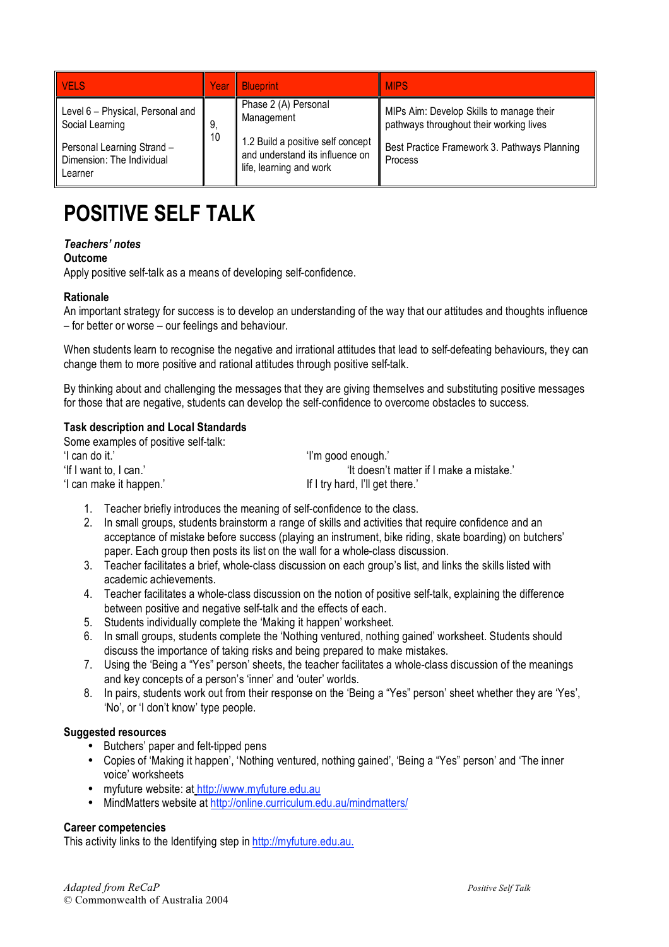| <b>VELS</b>                                                        | Year     | <b>Blueprint</b>                                                        | <b>MIPS</b>                                                                                                                         |
|--------------------------------------------------------------------|----------|-------------------------------------------------------------------------|-------------------------------------------------------------------------------------------------------------------------------------|
| Level 6 - Physical, Personal and<br>Social Learning                | 9.<br>10 | Phase 2 (A) Personal<br>Management<br>1.2 Build a positive self concept | MIPs Aim: Develop Skills to manage their<br>pathways throughout their working lives<br>Best Practice Framework 3. Pathways Planning |
| Personal Learning Strand -<br>Dimension: The Individual<br>Learner |          | and understand its influence on<br>life, learning and work              | Process                                                                                                                             |

# **POSITIVE SELF TALK**

### *Teachers' notes*

### **Outcome**

Apply positive self-talk as a means of developing self-confidence.

### **Rationale**

An important strategy for success is to develop an understanding of the way that our attitudes and thoughts influence – for better or worse – our feelings and behaviour.

When students learn to recognise the negative and irrational attitudes that lead to self-defeating behaviours, they can change them to more positive and rational attitudes through positive self-talk.

By thinking about and challenging the messages that they are giving themselves and substituting positive messages for those that are negative, students can develop the self-confidence to overcome obstacles to success.

### **Task description and Local Standards**

| Some examples of positive self-talk: |                                          |
|--------------------------------------|------------------------------------------|
| 'I can do it.'                       | 'i'm good enough.'                       |
| 'If I want to, I can.'               | 'It doesn't matter if I make a mistake.' |
| 'I can make it happen.'              | If I try hard, I'll get there.           |

- 1. Teacher briefly introduces the meaning of self-confidence to the class.
- 2. In small groups, students brainstorm a range of skills and activities that require confidence and an acceptance of mistake before success (playing an instrument, bike riding, skate boarding) on butchers' paper. Each group then posts its list on the wall for a whole-class discussion.
- 3. Teacher facilitates a brief, whole-class discussion on each group's list, and links the skills listed with academic achievements.
- 4. Teacher facilitates a whole-class discussion on the notion of positive self-talk, explaining the difference between positive and negative self-talk and the effects of each.
- 5. Students individually complete the 'Making it happen' worksheet.
- 6. In small groups, students complete the 'Nothing ventured, nothing gained' worksheet. Students should discuss the importance of taking risks and being prepared to make mistakes.
- 7. Using the 'Being a "Yes" person' sheets, the teacher facilitates a whole-class discussion of the meanings and key concepts of a person's 'inner' and 'outer' worlds.
- 8. In pairs, students work out from their response on the 'Being a "Yes" person' sheet whether they are 'Yes', 'No', or 'I don't know' type people.

### **Suggested resources**

- Butchers' paper and felt-tipped pens
- Copies of 'Making it happen', 'Nothing ventured, nothing gained', 'Being a "Yes" person' and 'The inner voice' worksheets
- myfuture website: at http://www.myfuture.edu.au
- MindMatters website at http://online.curriculum.edu.au/mindmatters/

### **Career competencies**

This activity links to the Identifying step in http://myfuture.edu.au.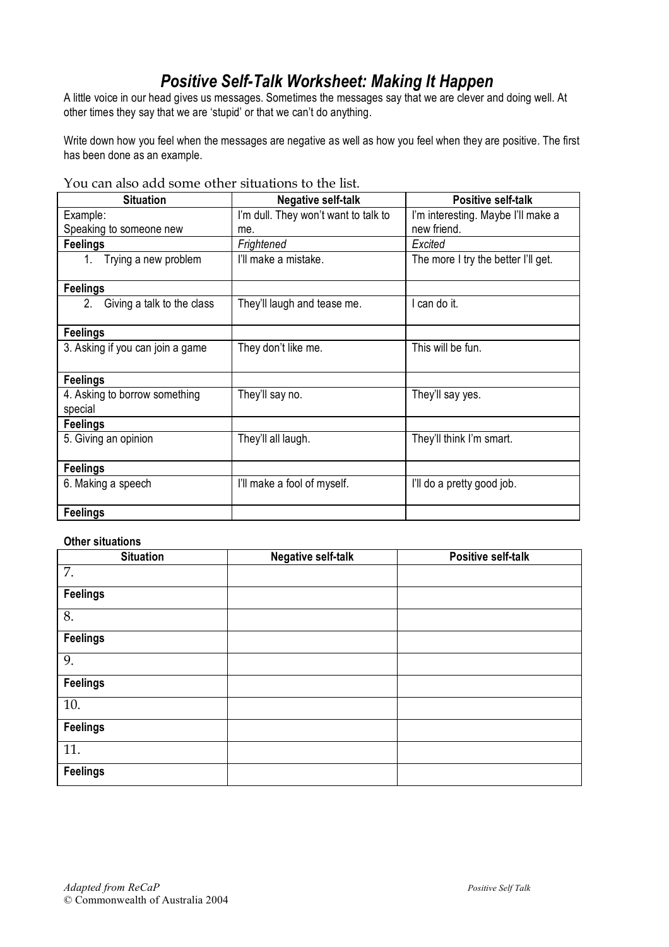# *Positive Self-Talk Worksheet: Making It Happen*

A little voice in our head gives us messages. Sometimes the messages say that we are clever and doing well. At other times they say that we are 'stupid' or that we can't do anything.

Write down how you feel when the messages are negative as well as how you feel when they are positive. The first has been done as an example.

You can also add some other situations to the list.

| <b>Situation</b>                         | <b>Negative self-talk</b>            | <b>Positive self-talk</b>           |
|------------------------------------------|--------------------------------------|-------------------------------------|
| Example:                                 | I'm dull. They won't want to talk to | I'm interesting. Maybe I'll make a  |
| Speaking to someone new                  | me.                                  | new friend.                         |
| <b>Feelings</b>                          | Frightened                           | Excited                             |
| Trying a new problem<br>1.               | I'll make a mistake.                 | The more I try the better I'll get. |
| <b>Feelings</b>                          |                                      |                                     |
| Giving a talk to the class<br>2.         | They'll laugh and tease me.          | I can do it.                        |
| <b>Feelings</b>                          |                                      |                                     |
| 3. Asking if you can join a game         | They don't like me.                  | This will be fun.                   |
| <b>Feelings</b>                          |                                      |                                     |
| 4. Asking to borrow something<br>special | They'll say no.                      | They'll say yes.                    |
| <b>Feelings</b>                          |                                      |                                     |
| 5. Giving an opinion                     | They'll all laugh.                   | They'll think I'm smart.            |
| <b>Feelings</b>                          |                                      |                                     |
| 6. Making a speech                       | I'll make a fool of myself.          | I'll do a pretty good job.          |
| <b>Feelings</b>                          |                                      |                                     |

### **Other situations**

| <b>Situation</b> | <b>Negative self-talk</b> | <b>Positive self-talk</b> |
|------------------|---------------------------|---------------------------|
| 7.               |                           |                           |
| <b>Feelings</b>  |                           |                           |
| 8.               |                           |                           |
| <b>Feelings</b>  |                           |                           |
| 9.               |                           |                           |
| <b>Feelings</b>  |                           |                           |
| 10.              |                           |                           |
| <b>Feelings</b>  |                           |                           |
| 11.              |                           |                           |
| <b>Feelings</b>  |                           |                           |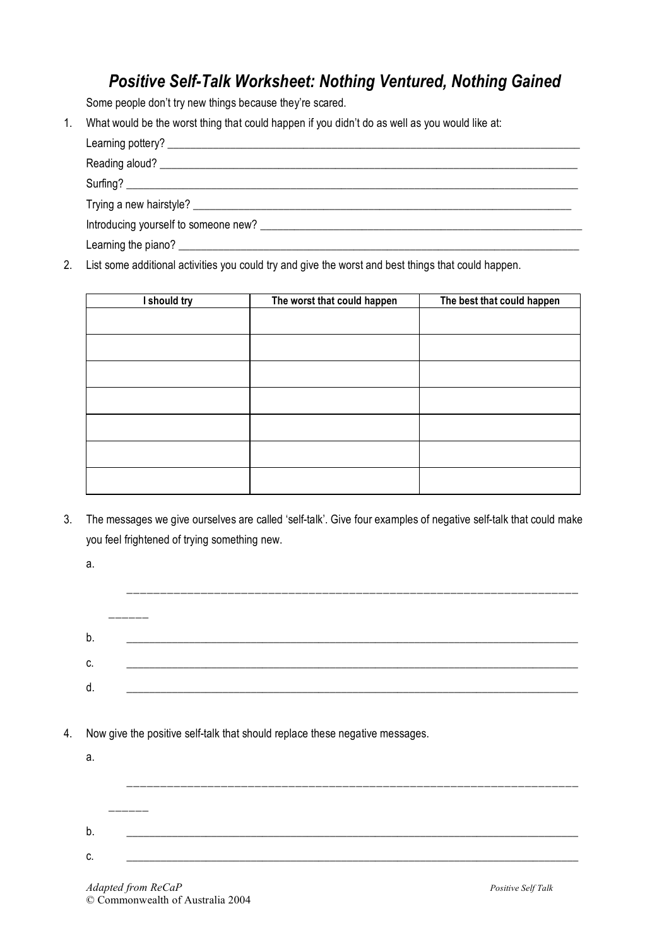### *Positive Self-Talk Worksheet: Nothing Ventured, Nothing Gained*

Some people don't try new things because they're scared.

1. What would be the worst thing that could happen if you didn't do as well as you would like at:

Learning pottery? \_\_\_\_\_\_\_\_\_\_\_\_\_\_\_\_\_\_\_\_\_\_\_\_\_\_\_\_\_\_\_\_\_\_\_\_\_\_\_\_\_\_\_\_\_\_\_\_\_\_\_\_\_\_\_\_\_\_\_\_\_\_\_\_\_\_\_\_\_\_\_\_\_

Reading aloud? \_\_\_\_\_\_\_\_\_\_\_\_\_\_\_\_\_\_\_\_\_\_\_\_\_\_\_\_\_\_\_\_\_\_\_\_\_\_\_\_\_\_\_\_\_\_\_\_\_\_\_\_\_\_\_\_\_\_\_\_\_\_\_\_\_\_\_\_\_\_\_\_\_\_

 $Surling?$ 

Trying a new hairstyle? \_\_\_\_\_\_\_\_\_\_\_\_\_\_\_\_\_\_\_\_\_\_\_\_\_\_\_\_\_\_\_\_\_\_\_\_\_\_\_\_\_\_\_\_\_\_\_\_\_\_\_\_\_\_\_\_\_\_\_\_\_\_\_\_\_\_\_

Introducing yourself to someone new? \_\_\_\_\_\_\_\_\_\_\_\_\_\_\_\_\_\_\_\_\_\_\_\_\_\_\_\_\_\_\_\_\_\_\_\_\_\_\_\_\_\_\_\_\_\_\_\_\_\_\_\_\_\_\_\_\_

Learning the piano? \_\_\_\_\_\_\_\_\_\_\_\_\_\_\_\_\_\_\_\_\_\_\_\_\_\_\_\_\_\_\_\_\_\_\_\_\_\_\_\_\_\_\_\_\_\_\_\_\_\_\_\_\_\_\_\_\_\_\_\_\_\_\_\_\_\_\_\_\_\_\_

2. List some additional activities you could try and give the worst and best things that could happen.

| I should try | The worst that could happen | The best that could happen |
|--------------|-----------------------------|----------------------------|
|              |                             |                            |
|              |                             |                            |
|              |                             |                            |
|              |                             |                            |
|              |                             |                            |
|              |                             |                            |
|              |                             |                            |
|              |                             |                            |

3. The messages we give ourselves are called 'self-talk'. Give four examples of negative self-talk that could make you feel frightened of trying something new.

|    | a.                                                                           |  |
|----|------------------------------------------------------------------------------|--|
|    |                                                                              |  |
|    |                                                                              |  |
|    | b.                                                                           |  |
|    | C.                                                                           |  |
|    | d.                                                                           |  |
|    |                                                                              |  |
| 4. | Now give the positive self-talk that should replace these negative messages. |  |
|    | a.                                                                           |  |
|    |                                                                              |  |
|    |                                                                              |  |
|    |                                                                              |  |
|    | b.                                                                           |  |

c. \_\_\_\_\_\_\_\_\_\_\_\_\_\_\_\_\_\_\_\_\_\_\_\_\_\_\_\_\_\_\_\_\_\_\_\_\_\_\_\_\_\_\_\_\_\_\_\_\_\_\_\_\_\_\_\_\_\_\_\_\_\_\_\_\_\_\_\_\_\_\_\_\_\_\_\_\_\_\_\_

*Adapted from ReCaP Positive Self Talk* © Commonwealth of Australia 2004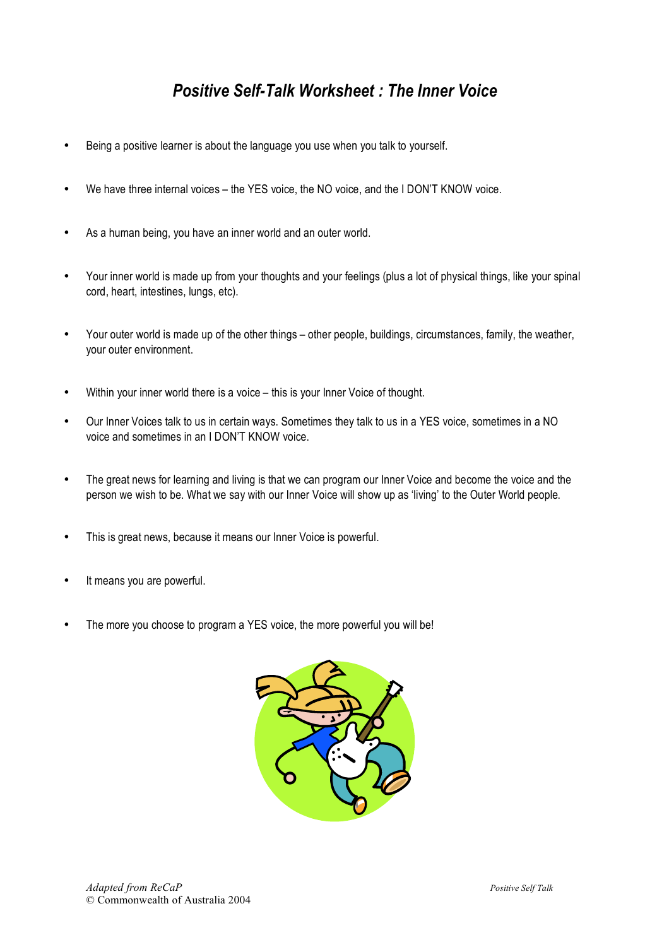# *Positive Self-Talk Worksheet : The Inner Voice*

- Being a positive learner is about the language you use when you talk to yourself.
- We have three internal voices the YES voice, the NO voice, and the I DON'T KNOW voice.
- As a human being, you have an inner world and an outer world.
- Your inner world is made up from your thoughts and your feelings (plus a lot of physical things, like your spinal cord, heart, intestines, lungs, etc).
- Your outer world is made up of the other things other people, buildings, circumstances, family, the weather, your outer environment.
- Within your inner world there is a voice this is your Inner Voice of thought.
- Our Inner Voices talk to us in certain ways. Sometimes they talk to us in a YES voice, sometimes in a NO voice and sometimes in an I DON'T KNOW voice.
- The great news for learning and living is that we can program our Inner Voice and become the voice and the person we wish to be. What we say with our Inner Voice will show up as 'living' to the Outer World people.
- This is great news, because it means our Inner Voice is powerful.
- It means you are powerful.
- The more you choose to program a YES voice, the more powerful you will be!